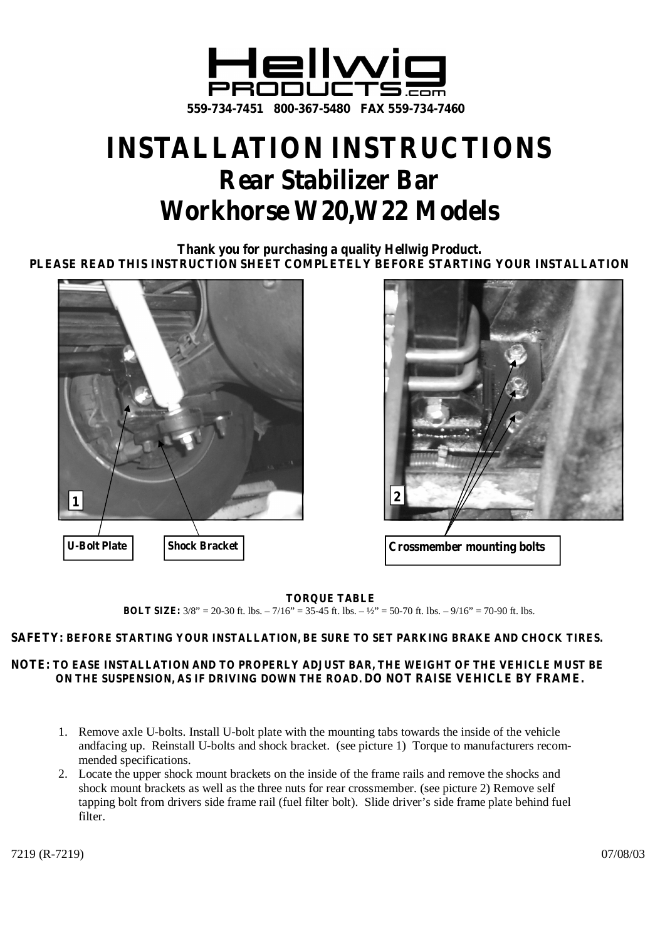

## **INSTALLATION INSTRUCTIONS Rear Stabilizer Bar Workhorse W20,W22 Models**

**Thank you for purchasing a quality Hellwig Product. PLEASE READ THIS INSTRUCTION SHEET COMPLETELY BEFORE STARTING YOUR INSTALLATION**





**TORQUE TABLE BOLT SIZE:** 3/8" = 20-30 ft. lbs. – 7/16" = 35-45 ft. lbs. – ½" = 50-70 ft. lbs. – 9/16" = 70-90 ft. lbs.

## **SAFETY: BEFORE STARTING YOUR INSTALLATION, BE SURE TO SET PARKING BRAKE AND CHOCK TIRES.**

## **NOTE: TO EASE INSTALLATION AND TO PROPERLY ADJUST BAR, THE WEIGHT OF THE VEHICLE MUST BE ON THE SUSPENSION, AS IF DRIVING DOWN THE ROAD. DO NOT RAISE VEHICLE BY FRAME.**

- 1. Remove axle U-bolts. Install U-bolt plate with the mounting tabs towards the inside of the vehicle andfacing up. Reinstall U-bolts and shock bracket. (see picture 1) Torque to manufacturers recommended specifications.
- 2. Locate the upper shock mount brackets on the inside of the frame rails and remove the shocks and shock mount brackets as well as the three nuts for rear crossmember. (see picture 2) Remove self tapping bolt from drivers side frame rail (fuel filter bolt). Slide driver's side frame plate behind fuel filter.